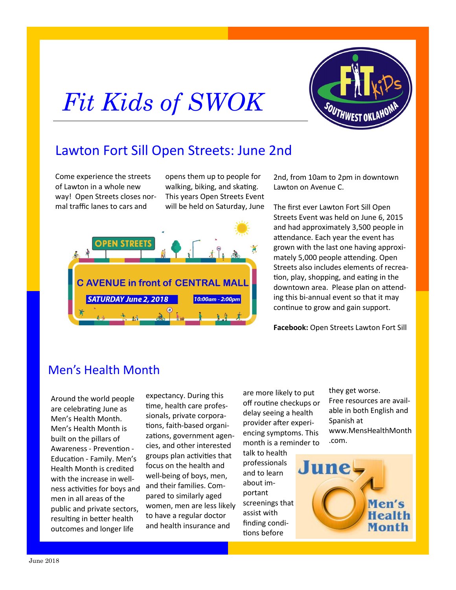## *Fit Kids of SWOK*



## Lawton Fort Sill Open Streets: June 2nd

Come experience the streets of Lawton in a whole new way! Open Streets closes normal traffic lanes to cars and

opens them up to people for walking, biking, and skating. This years Open Streets Event will be held on Saturday, June



2nd, from 10am to 2pm in downtown Lawton on Avenue C.

The first ever Lawton Fort Sill Open Streets Event was held on June 6, 2015 and had approximately 3,500 people in attendance. Each year the event has grown with the last one having approximately 5,000 people attending. Open Streets also includes elements of recreation, play, shopping, and eating in the downtown area. Please plan on attending this bi-annual event so that it may continue to grow and gain support.

**Facebook:** Open Streets Lawton Fort Sill

## Men's Health Month

Around the world people are celebrating June as Men's Health Month. Men's Health Month is built on the pillars of Awareness - Prevention - Education - Family. Men's Health Month is credited with the increase in wellness activities for boys and men in all areas of the public and private sectors, resulting in better health outcomes and longer life

expectancy. During this time, health care professionals, private corporations, faith-based organizations, government agencies, and other interested groups plan activities that focus on the health and well-being of boys, men, and their families. Compared to similarly aged women, men are less likely to have a regular doctor and health insurance and

are more likely to put off routine checkups or delay seeing a health provider after experiencing symptoms. This month is a reminder to

talk to health professionals and to learn about important screenings that assist with finding conditions before

they get worse. Free resources are available in both English and Spanish at www.MensHealthMonth .com.